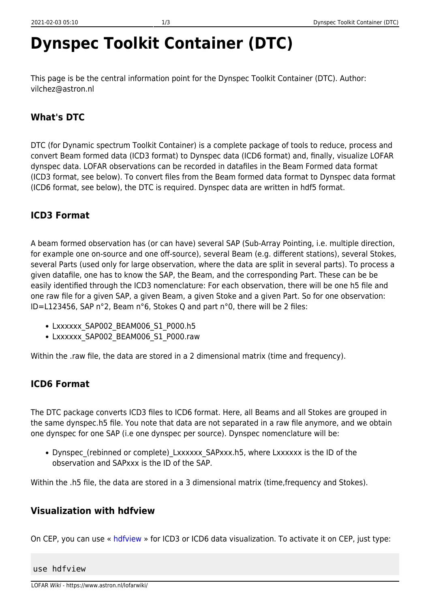# **Dynspec Toolkit Container (DTC)**

This page is be the central information point for the Dynspec Toolkit Container (DTC). Author: vilchez@astron.nl

# **What's DTC**

DTC (for Dynamic spectrum Toolkit Container) is a complete package of tools to reduce, process and convert Beam formed data (ICD3 format) to Dynspec data (ICD6 format) and, finally, visualize LOFAR dynspec data. LOFAR observations can be recorded in datafiles in the Beam Formed data format (ICD3 format, see below). To convert files from the Beam formed data format to Dynspec data format (ICD6 format, see below), the DTC is required. Dynspec data are written in hdf5 format.

# **ICD3 Format**

A beam formed observation has (or can have) several SAP (Sub-Array Pointing, i.e. multiple direction, for example one on-source and one off-source), several Beam (e.g. different stations), several Stokes, several Parts (used only for large observation, where the data are split in several parts). To process a given datafile, one has to know the SAP, the Beam, and the corresponding Part. These can be be easily identified through the ICD3 nomenclature: For each observation, there will be one h5 file and one raw file for a given SAP, a given Beam, a given Stoke and a given Part. So for one observation: ID=L123456, SAP n°2, Beam n°6, Stokes Q and part n°0, there will be 2 files:

- Lxxxxxx SAP002 BEAM006 S1 P000.h5
- Lxxxxxx SAP002 BEAM006 S1 P000.raw

Within the .raw file, the data are stored in a 2 dimensional matrix (time and frequency).

#### **ICD6 Format**

The DTC package converts ICD3 files to ICD6 format. Here, all Beams and all Stokes are grouped in the same dynspec.h5 file. You note that data are not separated in a raw file anymore, and we obtain one dynspec for one SAP (i.e one dynspec per source). Dynspec nomenclature will be:

• Dynspec (rebinned or complete) Lxxxxxx SAPxxx.h5, where Lxxxxxx is the ID of the observation and SAPxxx is the ID of the SAP.

Within the .h5 file, the data are stored in a 3 dimensional matrix (time,frequency and Stokes).

#### **Visualization with hdfview**

On CEP, you can use « [hdfview](http://www.hdfgroup.org/products/java/hdfview/) » for ICD3 or ICD6 data visualization. To activate it on CEP, just type:

#### use hdfview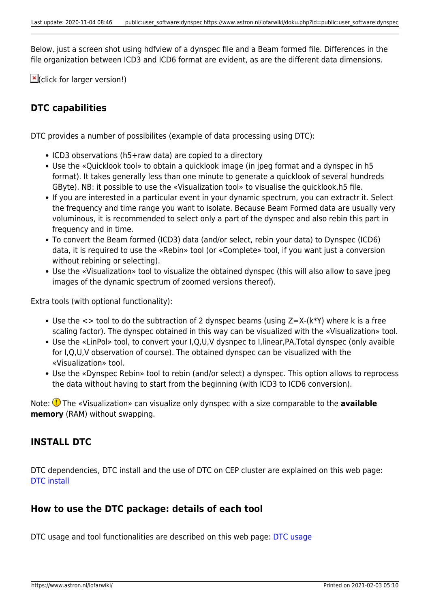Below, just a screen shot using hdfview of a dynspec file and a Beam formed file. Differences in the file organization between ICD3 and ICD6 format are evident, as are the different data dimensions.

 $\mathbb{E}$ (click for larger version!)

# **DTC capabilities**

DTC provides a number of possibilites (example of data processing using DTC):

- ICD3 observations (h5+raw data) are copied to a directory
- Use the «Quicklook tool» to obtain a quicklook image (in jpeg format and a dynspec in h5 format). It takes generally less than one minute to generate a quicklook of several hundreds GByte). NB: it possible to use the «Visualization tool» to visualise the quicklook.h5 file.
- If you are interested in a particular event in your dynamic spectrum, you can extractr it. Select the frequency and time range you want to isolate. Because Beam Formed data are usually very voluminous, it is recommended to select only a part of the dynspec and also rebin this part in frequency and in time.
- To convert the Beam formed (ICD3) data (and/or select, rebin your data) to Dynspec (ICD6) data, it is required to use the «Rebin» tool (or «Complete» tool, if you want just a conversion without rebining or selecting).
- Use the «Visualization» tool to visualize the obtained dynspec (this will also allow to save jpeg images of the dynamic spectrum of zoomed versions thereof).

Extra tools (with optional functionality):

- Use the <> tool to do the subtraction of 2 dynspec beams (using Z=X-(k\*Y) where k is a free scaling factor). The dynspec obtained in this way can be visualized with the «Visualization» tool.
- Use the «LinPol» tool, to convert your I,Q,U,V dysnpec to I,linear,PA,Total dynspec (only avaible for I,Q,U,V observation of course). The obtained dynspec can be visualized with the «Visualization» tool.
- Use the «Dynspec Rebin» tool to rebin (and/or select) a dynspec. This option allows to reprocess the data without having to start from the beginning (with ICD3 to ICD6 conversion).

Note: **D** The «Visualization» can visualize only dynspec with a size comparable to the **available memory** (RAM) without swapping.

# **INSTALL DTC**

DTC dependencies, DTC install and the use of DTC on CEP cluster are explained on this web page: [DTC install](https://www.astron.nl/lofarwiki/doku.php?id=public:user_software:dysnpec_install)

#### **How to use the DTC package: details of each tool**

DTC usage and tool functionalities are described on this web page: [DTC usage](https://www.astron.nl/lofarwiki/doku.php?id=public:user_software:dynspec_tools)